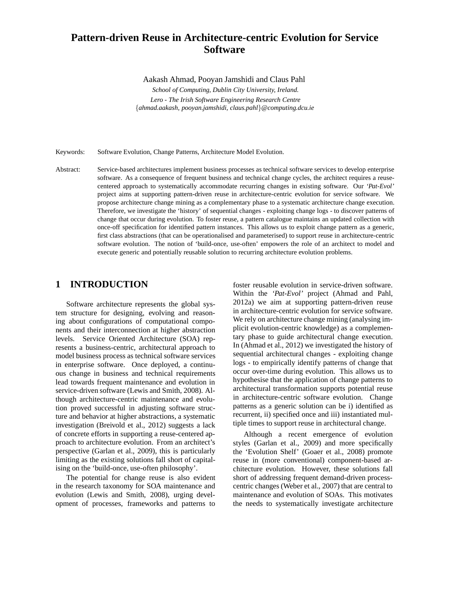# **Pattern-driven Reuse in Architecture-centric Evolution for Service Software**

Aakash Ahmad, Pooyan Jamshidi and Claus Pahl

*School of Computing, Dublin City University, Ireland. Lero - The Irish Software Engineering Research Centre* {*ahmad.aakash, pooyan.jamshidi, claus.pahl*}*@computing.dcu.ie*

Keywords: Software Evolution, Change Patterns, Architecture Model Evolution.

Abstract: Service-based architectures implement business processes as technical software services to develop enterprise software. As a consequence of frequent business and technical change cycles, the architect requires a reusecentered approach to systematically accommodate recurring changes in existing software. Our *'Pat-Evol'* project aims at supporting pattern-driven reuse in architecture-centric evolution for service software. We propose architecture change mining as a complementary phase to a systematic architecture change execution. Therefore, we investigate the 'history' of sequential changes - exploiting change logs - to discover patterns of change that occur during evolution. To foster reuse, a pattern catalogue maintains an updated collection with once-off specification for identified pattern instances. This allows us to exploit change pattern as a generic, first class abstractions (that can be operationalised and parameterised) to support reuse in architecture-centric software evolution. The notion of 'build-once, use-often' empowers the role of an architect to model and execute generic and potentially reusable solution to recurring architecture evolution problems.

### **1 INTRODUCTION**

Software architecture represents the global system structure for designing, evolving and reasoning about configurations of computational components and their interconnection at higher abstraction levels. Service Oriented Architecture (SOA) represents a business-centric, architectural approach to model business process as technical software services in enterprise software. Once deployed, a continuous change in business and technical requirements lead towards frequent maintenance and evolution in service-driven software (Lewis and Smith, 2008). Although architecture-centric maintenance and evolution proved successful in adjusting software structure and behavior at higher abstractions, a systematic investigation (Breivold et al., 2012) suggests a lack of concrete efforts in supporting a reuse-centered approach to architecture evolution. From an architect's perspective (Garlan et al., 2009), this is particularly limiting as the existing solutions fall short of capitalising on the 'build-once, use-often philosophy'.

The potential for change reuse is also evident in the research taxonomy for SOA maintenance and evolution (Lewis and Smith, 2008), urging development of processes, frameworks and patterns to

foster reusable evolution in service-driven software. Within the *'Pat-Evol'* project (Ahmad and Pahl, 2012a) we aim at supporting pattern-driven reuse in architecture-centric evolution for service software. We rely on architecture change mining (analysing implicit evolution-centric knowledge) as a complementary phase to guide architectural change execution. In (Ahmad et al., 2012) we investigated the history of sequential architectural changes - exploiting change logs - to empirically identify patterns of change that occur over-time during evolution. This allows us to hypothesise that the application of change patterns to architectural transformation supports potential reuse in architecture-centric software evolution. Change patterns as a generic solution can be i) identified as recurrent, ii) specified once and iii) instantiated multiple times to support reuse in architectural change.

Although a recent emergence of evolution styles (Garlan et al., 2009) and more specifically the 'Evolution Shelf' (Goaer et al., 2008) promote reuse in (more conventional) component-based architecture evolution. However, these solutions fall short of addressing frequent demand-driven processcentric changes (Weber et al., 2007) that are central to maintenance and evolution of SOAs. This motivates the needs to systematically investigate architecture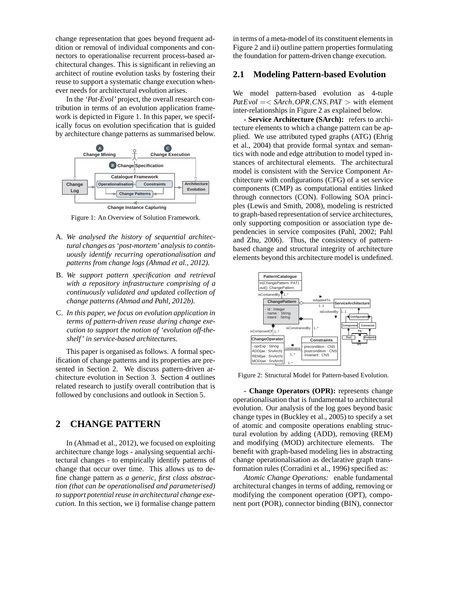change representation that goes beyond frequent addition or removal of individual components and connectors to operationalise recurrent process-based architectural changes. This is significant in relieving an architect of routine evolution tasks by fostering their reuse to support a systematic change execution whenever needs for architectural evolution arises.

In the *'Pat-Evol'* project, the overall research contribution in terms of an evolution application framework is depicted in Figure 1. In this paper, we specifically focus on evolution specification that is guided by architecture change patterns as summarised below.



Figure 1: An Overview of Solution Framework.

- A. *We analysed the history of sequential architectural changes as 'post-mortem' analysis to continuously identify recurring operationalisation and patterns from change logs (Ahmad et al., 2012).*
- B. *We support pattern specification and retrieval with a repository infrastructure comprising of a continuously validated and updated collection of change patterns (Ahmad and Pahl, 2012b).*
- C. *In this paper, we focus on evolution application in terms of pattern-driven reuse during change execution to support the notion of 'evolution off-theshelf' in service-based architectures.*

This paper is organised as follows. A formal specification of change patterns and its properties are presented in Section 2. We discuss pattern-driven architecture evolution in Section 3. Section 4 outlines related research to justify overall contribution that is followed by conclusions and outlook in Section 5.

## **2 CHANGE PATTERN**

In (Ahmad et al., 2012), we focused on exploiting architecture change logs - analysing sequential architectural changes - to empirically identify patterns of change that occur over time. This allows us to define change pattern as *a generic, first class abstraction (that can be operationalised and parameterised) to support potential reuse in architectural change execution*. In this section, we i) formalise change pattern

in terms of a meta-model of its constituent elements in Figure 2 and ii) outline pattern properties formulating the foundation for pattern-driven change execution.

#### **2.1 Modeling Pattern-based Evolution**

We model pattern-based evolution as 4-tuple  $PatEvol = <$   $SArch, OPR, CNS, PAT$   $>$  with element inter-relationships in Figure 2 as explained below.

**- Service Architecture (SArch):** refers to architecture elements to which a change pattern can be applied. We use attributed typed graphs (ATG) (Ehrig et al., 2004) that provide formal syntax and semantics with node and edge attribution to model typed instances of architectural elements. The architectural model is consistent with the Service Component Architecture with configurations (CFG) of a set service components (CMP) as computational entities linked through connectors (CON). Following SOA principles (Lewis and Smith, 2008), modeling is restricted to graph-based representation of service architectures, only supporting composition or association type dependencies in service composites (Pahl, 2002; Pahl and Zhu, 2006). Thus, the consistency of patternbased change and structural integrity of architecture elements beyond this architecture model is undefined.



Figure 2: Structural Model for Pattern-based Evolution.

**- Change Operators (OPR):** represents change operationalisation that is fundamental to architectural evolution. Our analysis of the log goes beyond basic change types in (Buckley et al., 2005) to specify a set of atomic and composite operations enabling structural evolution by adding (ADD), removing (REM) and modifying (MOD) architecture elements. The benefit with graph-based modeling lies in abstracting change operationalisation as declarative graph transformation rules (Corradini et al., 1996) specified as:

*Atomic Change Operations:* enable fundamental architectural changes in terms of adding, removing or modifying the component operation (OPT), component port (POR), connector binding (BIN), connector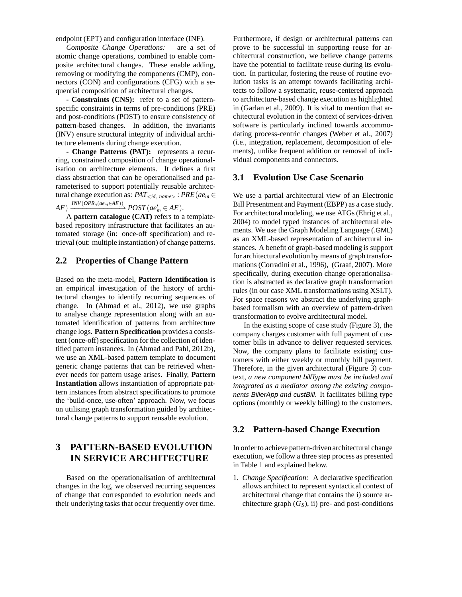endpoint (EPT) and configuration interface (INF).

*Composite Change Operations:* are a set of atomic change operations, combined to enable composite architectural changes. These enable adding, removing or modifying the components (CMP), connectors (CON) and configurations (CFG) with a sequential composition of architectural changes.

**- Constraints (CNS):** refer to a set of patternspecific constraints in terms of pre-conditions (PRE) and post-conditions (POST) to ensure consistency of pattern-based changes. In addition, the invariants (INV) ensure structural integrity of individual architecture elements during change execution.

**- Change Patterns (PAT):** represents a recurring, constrained composition of change operationalisation on architecture elements. It defines a first class abstraction that can be operationalised and parameterised to support potentially reusable architectural change execution as: *PAT<id, name<sup>&</sup>gt;* : *PRE*(*aem* ∈

 $AE) \xrightarrow{INV(OPR_n(ae_m \in AE))} POST(ae'_m \in AE).$ 

A **pattern catalogue (CAT)** refers to a templatebased repository infrastructure that facilitates an automated storage (in: once-off specification) and retrieval (out: multiple instantiation) of change patterns.

### **2.2 Properties of Change Pattern**

Based on the meta-model, **Pattern Identification** is an empirical investigation of the history of architectural changes to identify recurring sequences of change. In (Ahmad et al., 2012), we use graphs to analyse change representation along with an automated identification of patterns from architecture change logs. **Pattern Specification** provides a consistent (once-off) specification for the collection of identified pattern instances. In (Ahmad and Pahl, 2012b), we use an XML-based pattern template to document generic change patterns that can be retrieved whenever needs for pattern usage arises. Finally, **Pattern Instantiation** allows instantiation of appropriate pattern instances from abstract specifications to promote the 'build-once, use-often' approach. Now, we focus on utilising graph transformation guided by architectural change patterns to support reusable evolution.

# **3 PATTERN-BASED EVOLUTION IN SERVICE ARCHITECTURE**

Based on the operationalisation of architectural changes in the log, we observed recurring sequences of change that corresponded to evolution needs and their underlying tasks that occur frequently over time. Furthermore, if design or architectural patterns can prove to be successful in supporting reuse for architectural construction, we believe change patterns have the potential to facilitate reuse during its evolution. In particular, fostering the reuse of routine evolution tasks is an attempt towards facilitating architects to follow a systematic, reuse-centered approach to architecture-based change execution as highlighted in (Garlan et al., 2009). It is vital to mention that architectural evolution in the context of services-driven software is particularly inclined towards accommodating process-centric changes (Weber et al., 2007) (i.e., integration, replacement, decomposition of elements), unlike frequent addition or removal of individual components and connectors.

#### **3.1 Evolution Use Case Scenario**

We use a partial architectural view of an Electronic Bill Presentment and Payment (EBPP) as a case study. For architectural modeling, we use ATGs (Ehrig et al., 2004) to model typed instances of architectural elements. We use the Graph Modeling Language (.GML) as an XML-based representation of architectural instances. A benefit of graph-based modeling is support for architectural evolution by means of graph transformations (Corradini et al., 1996), (Graaf, 2007). More specifically, during execution change operationalisation is abstracted as declarative graph transformation rules (in our case XML transformations using XSLT). For space reasons we abstract the underlying graphbased formalism with an overview of pattern-driven transformation to evolve architectural model.

In the existing scope of case study (Figure 3), the company charges customer with full payment of customer bills in advance to deliver requested services. Now, the company plans to facilitate existing customers with either weekly or monthly bill payment. Therefore, in the given architectural (Figure 3) context, *a new component billType must be included and integrated as a mediator among the existing components BillerApp and custBill*. It facilitates billing type options (monthly or weekly billing) to the customers.

#### **3.2 Pattern-based Change Execution**

In order to achieve pattern-driven architectural change execution, we follow a three step process as presented in Table 1 and explained below.

1. *Change Specification:* A declarative specification allows architect to represent syntactical context of architectural change that contains the i) source architecture graph  $(G<sub>S</sub>)$ , ii) pre- and post-conditions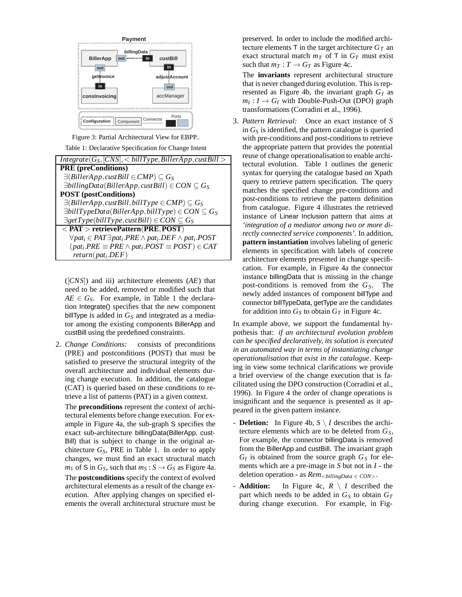

Figure 3: Partial Architectural View for EBPP..

Table 1: Declarative Specification for Change Intent

| $Integrate(G_S, [CNS], < billType, BillerApp, custBill >$                                                                         |
|-----------------------------------------------------------------------------------------------------------------------------------|
| <b>PRE</b> (preConditions)                                                                                                        |
| $\exists$ (BillerApp, custBill $\in$ CMP) $\subseteq$ G <sub>S</sub>                                                              |
| $\exists billingData(BillerApp, custBill) \in CON \subseteq G_S$                                                                  |
| <b>POST</b> (postConditions)                                                                                                      |
| $\exists$ (BillerApp, custBill, billType $\in$ CMP) $\subseteq$ G <sub>S</sub>                                                    |
| $\exists billTypeData(BillerApp, billType) \in CON \subseteq G_S$                                                                 |
| $\exists getType(billType, custBill) \in CON \subseteq G_S$                                                                       |
| $\overline{<$ PAT $>$ retrievePattern(PRE, POST)                                                                                  |
| $\forall$ pat <sub>i</sub> $\in$ PAT $\exists$ pat <sub>i</sub> .PRE $\land$ pat <sub>i</sub> .DEF $\land$ pat <sub>i</sub> .POST |
| $(\textit{pat}_i.\textit{PRE} \equiv \textit{PRE} \land \textit{pat}_i.\textit{POST} \equiv \textit{POST}) \in \textit{CAT}$      |
| $return(pat_i.DEF)$                                                                                                               |
|                                                                                                                                   |

([*CNS*]) and iii) architecture elements (*AE*) that need to be added, removed or modified such that  $AE \in G_S$ . For example, in Table 1 the declaration Integrate() specifies that the new component billType is added in  $G<sub>S</sub>$  and integrated as a mediator among the existing components BillerApp and custBill using the predefined constraints.

2. *Change Conditions:* consists of preconditions (PRE) and postconditions (POST) that must be satisfied to preserve the structural integrity of the overall architecture and individual elements during change execution. In addition, the catalogue (CAT) is queried based on these conditions to retrieve a list of patterns (PAT) in a given context.

The **preconditions** represent the context of architectural elements before change execution. For example in Figure 4a, the sub-graph S specifies the exact sub-architecture billingData(BillerApp, cust-Bill) that is subject to change in the original architecture *GS*, PRE in Table 1. In order to apply changes, we must find an exact structural match *m*<sub>1</sub> of **S** in  $G_S$ , such that  $m_S : S \rightarrow G_S$  as Figure 4a. The **postconditions** specify the context of evolved architectural elements as a result of the change execution. After applying changes on specified elements the overall architectural structure must be preserved. In order to include the modified architecture elements  $\mathsf T$  in the target architecture  $G_T$  and exact structural match  $m<sub>T</sub>$  of T in  $G<sub>T</sub>$  must exist such that  $m_T : T \to G_T$  as Figure 4c.

The **invariants** represent architectural structure that is never changed during evolution. This is represented as Figure 4b, the invariant graph  $G_I$  as  $m_I: I \rightarrow G_I$  with Double-Push-Out (DPO) graph transformations (Corradini et al., 1996).

3. *Pattern Retrieval:* Once an exact instance of *S* in  $G<sub>S</sub>$  is identified, the pattern catalogue is queried with pre-conditions and post-conditions to retrieve the appropriate pattern that provides the potential reuse of change operationalisation to enable architectural evolution. Table 1 outlines the generic syntax for querying the catalogue based on Xpath query to retrieve pattern specification. The query matches the specified change pre-conditions and post-conditions to retrieve the pattern definition from catalogue. Figure 4 illustrates the retrieved instance of Linear Inclusion pattern that aims at *'integration of a mediator among two or more directly connected service components'*. In addition, **pattern instantiation** involves labeling of generic elements in specification with labels of concrete architecture elements presented in change specification. For example, in Figure 4a the connector instance billingData that is missing in the change post-conditions is removed from the G<sub>S</sub>. The newly added instances of component billType and connector billTypeData, getType are the candidates for addition into  $G_S$  to obtain  $G_T$  in Figure 4c.

In example above, we support the fundamental hypothesis that: *if an architectural evolution problem can be specified declaratively, its solution is executed in an automated way in terms of instantiating change operationalisation that exist in the catalogue*. Keeping in view some technical clarifications we provide a brief overview of the change execution that is facilitated using the DPO construction (Corradini et al., 1996). In Figure 4 the order of change operations is insignificant and the sequence is presented as it appeared in the given pattern instance.

- **Deletion:** In Figure 4b,  $S \setminus I$  describes the architecture elements which are to be deleted from  $G<sub>S</sub>$ , For example, the connector billingData is removed from the BillerApp and custBill. The invariant graph  $G_I$  is obtained from the source graph  $G_S$  for elements which are a pre-image in *S* but not in *I* - the deletion operation - as *Rem<billingData* <sup>∈</sup> *CON>*.
- **Addition:** In Figure 4c,  $R \setminus I$  described the part which needs to be added in  $G_S$  to obtain  $G_T$ during change execution. For example, in Fig-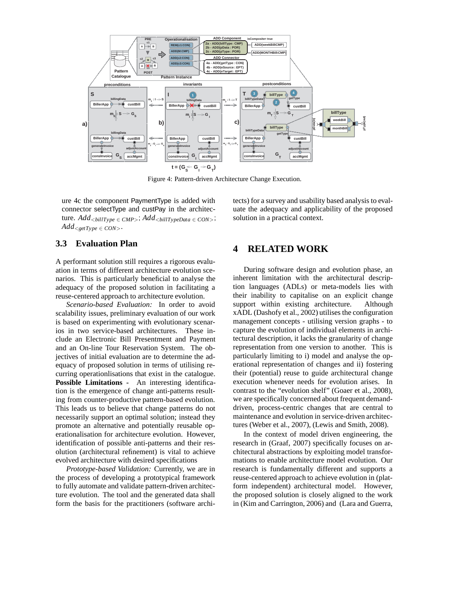

Figure 4: Pattern-driven Architecture Change Execution.

ure 4c the component PaymentType is added with connector selectType and custPay in the architecture.  $Add_{\leq billType \leq CMP>}$ ;  $Add_{\leq billTypeData \in CON>}$ ;  $Add_{<\text{getType}} \in CON$ 

#### **3.3 Evaluation Plan**

A performant solution still requires a rigorous evaluation in terms of different architecture evolution scenarios. This is particularly beneficial to analyse the adequacy of the proposed solution in facilitating a reuse-centered approach to architecture evolution.

*Scenario-based Evaluation:* In order to avoid scalability issues, preliminary evaluation of our work is based on experimenting with evolutionary scenarios in two service-based architectures. These include an Electronic Bill Presentment and Payment and an On-line Tour Reservation System. The objectives of initial evaluation are to determine the adequacy of proposed solution in terms of utilising recurring operationlisations that exist in the catalogue. **Possible Limitations -** An interesting identification is the emergence of change anti-patterns resulting from counter-productive pattern-based evolution. This leads us to believe that change patterns do not necessarily support an optimal solution; instead they promote an alternative and potentially reusable operationalisation for architecture evolution. However, identification of possible anti-patterns and their resolution (architectural refinement) is vital to achieve evolved architecture with desired specifications

*Prototype-based Validation:* Currently, we are in the process of developing a prototypical framework to fully automate and validate pattern-driven architecture evolution. The tool and the generated data shall form the basis for the practitioners (software architects) for a survey and usability based analysis to evaluate the adequacy and applicability of the proposed solution in a practical context.

### **4 RELATED WORK**

During software design and evolution phase, an inherent limitation with the architectural description languages (ADLs) or meta-models lies with their inability to capitalise on an explicit change support within existing architecture. Although xADL (Dashofy et al., 2002) utilises the configuration management concepts - utilising version graphs - to capture the evolution of individual elements in architectural description, it lacks the granularity of change representation from one version to another. This is particularly limiting to i) model and analyse the operational representation of changes and ii) fostering their (potential) reuse to guide architectural change execution whenever needs for evolution arises. In contrast to the "evolution shelf" (Goaer et al., 2008), we are specifically concerned about frequent demanddriven, process-centric changes that are central to maintenance and evolution in service-driven architectures (Weber et al., 2007), (Lewis and Smith, 2008).

In the context of model driven engineering, the research in (Graaf, 2007) specifically focuses on architectural abstractions by exploiting model transformations to enable architecture model evolution. Our research is fundamentally different and supports a reuse-centered approach to achieve evolution in (platform independent) architectural model. However, the proposed solution is closely aligned to the work in (Kim and Carrington, 2006) and (Lara and Guerra,